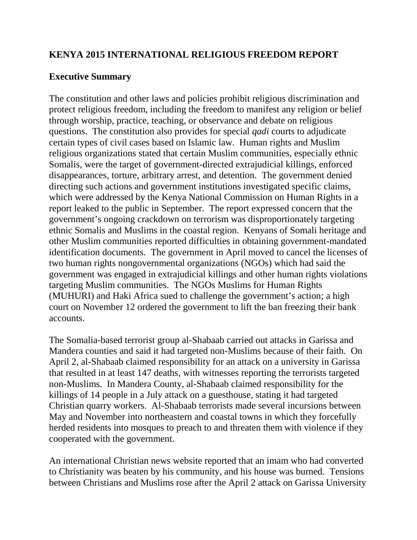#### **KENYA 2015 INTERNATIONAL RELIGIOUS FREEDOM REPORT**

#### **Executive Summary**

The constitution and other laws and policies prohibit religious discrimination and protect religious freedom, including the freedom to manifest any religion or belief through worship, practice, teaching, or observance and debate on religious questions. The constitution also provides for special *qadi* courts to adjudicate certain types of civil cases based on Islamic law. Human rights and Muslim religious organizations stated that certain Muslim communities, especially ethnic Somalis, were the target of government-directed extrajudicial killings, enforced disappearances, torture, arbitrary arrest, and detention. The government denied directing such actions and government institutions investigated specific claims, which were addressed by the Kenya National Commission on Human Rights in a report leaked to the public in September. The report expressed concern that the government's ongoing crackdown on terrorism was disproportionately targeting ethnic Somalis and Muslims in the coastal region. Kenyans of Somali heritage and other Muslim communities reported difficulties in obtaining government-mandated identification documents. The government in April moved to cancel the licenses of two human rights nongovernmental organizations (NGOs) which had said the government was engaged in extrajudicial killings and other human rights violations targeting Muslim communities. The NGOs Muslims for Human Rights (MUHURI) and Haki Africa sued to challenge the government's action; a high court on November 12 ordered the government to lift the ban freezing their bank accounts.

The Somalia-based terrorist group al-Shabaab carried out attacks in Garissa and Mandera counties and said it had targeted non-Muslims because of their faith. On April 2, al-Shabaab claimed responsibility for an attack on a university in Garissa that resulted in at least 147 deaths, with witnesses reporting the terrorists targeted non-Muslims. In Mandera County, al-Shabaab claimed responsibility for the killings of 14 people in a July attack on a guesthouse, stating it had targeted Christian quarry workers. Al-Shabaab terrorists made several incursions between May and November into northeastern and coastal towns in which they forcefully herded residents into mosques to preach to and threaten them with violence if they cooperated with the government.

An international Christian news website reported that an imam who had converted to Christianity was beaten by his community, and his house was burned. Tensions between Christians and Muslims rose after the April 2 attack on Garissa University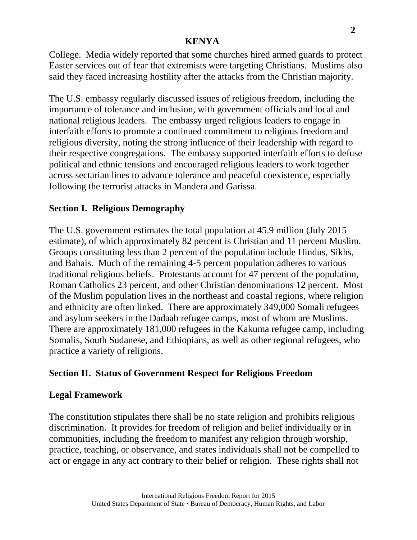College. Media widely reported that some churches hired armed guards to protect Easter services out of fear that extremists were targeting Christians. Muslims also said they faced increasing hostility after the attacks from the Christian majority.

The U.S. embassy regularly discussed issues of religious freedom, including the importance of tolerance and inclusion, with government officials and local and national religious leaders. The embassy urged religious leaders to engage in interfaith efforts to promote a continued commitment to religious freedom and religious diversity, noting the strong influence of their leadership with regard to their respective congregations. The embassy supported interfaith efforts to defuse political and ethnic tensions and encouraged religious leaders to work together across sectarian lines to advance tolerance and peaceful coexistence, especially following the terrorist attacks in Mandera and Garissa.

# **Section I. Religious Demography**

The U.S. government estimates the total population at 45.9 million (July 2015 estimate), of which approximately 82 percent is Christian and 11 percent Muslim. Groups constituting less than 2 percent of the population include Hindus, Sikhs, and Bahais. Much of the remaining 4-5 percent population adheres to various traditional religious beliefs. Protestants account for 47 percent of the population, Roman Catholics 23 percent, and other Christian denominations 12 percent. Most of the Muslim population lives in the northeast and coastal regions, where religion and ethnicity are often linked. There are approximately 349,000 Somali refugees and asylum seekers in the Dadaab refugee camps, most of whom are Muslims. There are approximately 181,000 refugees in the Kakuma refugee camp, including Somalis, South Sudanese, and Ethiopians, as well as other regional refugees, who practice a variety of religions.

## **Section II. Status of Government Respect for Religious Freedom**

# **Legal Framework**

The constitution stipulates there shall be no state religion and prohibits religious discrimination. It provides for freedom of religion and belief individually or in communities, including the freedom to manifest any religion through worship, practice, teaching, or observance, and states individuals shall not be compelled to act or engage in any act contrary to their belief or religion. These rights shall not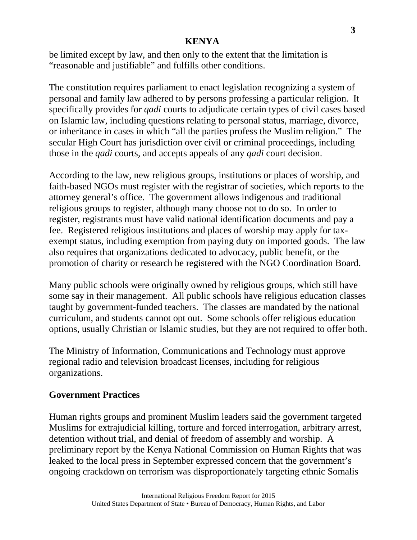be limited except by law, and then only to the extent that the limitation is "reasonable and justifiable" and fulfills other conditions.

The constitution requires parliament to enact legislation recognizing a system of personal and family law adhered to by persons professing a particular religion. It specifically provides for *qadi* courts to adjudicate certain types of civil cases based on Islamic law, including questions relating to personal status, marriage, divorce, or inheritance in cases in which "all the parties profess the Muslim religion." The secular High Court has jurisdiction over civil or criminal proceedings, including those in the *qadi* courts, and accepts appeals of any *qadi* court decision.

According to the law, new religious groups, institutions or places of worship, and faith-based NGOs must register with the registrar of societies, which reports to the attorney general's office. The government allows indigenous and traditional religious groups to register, although many choose not to do so. In order to register, registrants must have valid national identification documents and pay a fee. Registered religious institutions and places of worship may apply for taxexempt status, including exemption from paying duty on imported goods. The law also requires that organizations dedicated to advocacy, public benefit, or the promotion of charity or research be registered with the NGO Coordination Board.

Many public schools were originally owned by religious groups, which still have some say in their management. All public schools have religious education classes taught by government-funded teachers. The classes are mandated by the national curriculum, and students cannot opt out. Some schools offer religious education options, usually Christian or Islamic studies, but they are not required to offer both.

The Ministry of Information, Communications and Technology must approve regional radio and television broadcast licenses, including for religious organizations.

## **Government Practices**

Human rights groups and prominent Muslim leaders said the government targeted Muslims for extrajudicial killing, torture and forced interrogation, arbitrary arrest, detention without trial, and denial of freedom of assembly and worship. A preliminary report by the Kenya National Commission on Human Rights that was leaked to the local press in September expressed concern that the government's ongoing crackdown on terrorism was disproportionately targeting ethnic Somalis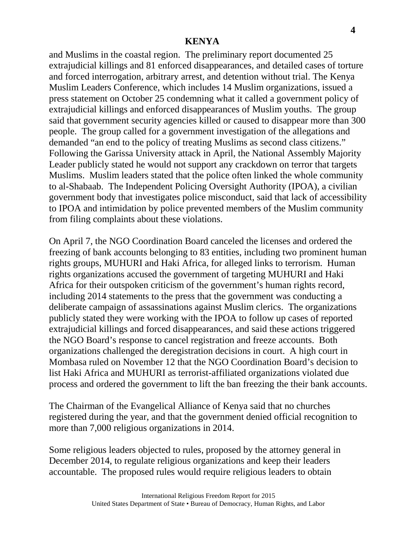and Muslims in the coastal region. The preliminary report documented 25 extrajudicial killings and 81 enforced disappearances, and detailed cases of torture and forced interrogation, arbitrary arrest, and detention without trial. The Kenya Muslim Leaders Conference, which includes 14 Muslim organizations, issued a press statement on October 25 condemning what it called a government policy of extrajudicial killings and enforced disappearances of Muslim youths. The group said that government security agencies killed or caused to disappear more than 300 people. The group called for a government investigation of the allegations and demanded "an end to the policy of treating Muslims as second class citizens." Following the Garissa University attack in April, the National Assembly Majority Leader publicly stated he would not support any crackdown on terror that targets Muslims. Muslim leaders stated that the police often linked the whole community to al-Shabaab. The Independent Policing Oversight Authority (IPOA), a civilian government body that investigates police misconduct, said that lack of accessibility to IPOA and intimidation by police prevented members of the Muslim community from filing complaints about these violations.

On April 7, the NGO Coordination Board canceled the licenses and ordered the freezing of bank accounts belonging to 83 entities, including two prominent human rights groups, MUHURI and Haki Africa, for alleged links to terrorism. Human rights organizations accused the government of targeting MUHURI and Haki Africa for their outspoken criticism of the government's human rights record, including 2014 statements to the press that the government was conducting a deliberate campaign of assassinations against Muslim clerics. The organizations publicly stated they were working with the IPOA to follow up cases of reported extrajudicial killings and forced disappearances, and said these actions triggered the NGO Board's response to cancel registration and freeze accounts. Both organizations challenged the deregistration decisions in court. A high court in Mombasa ruled on November 12 that the NGO Coordination Board's decision to list Haki Africa and MUHURI as terrorist-affiliated organizations violated due process and ordered the government to lift the ban freezing the their bank accounts.

The Chairman of the Evangelical Alliance of Kenya said that no churches registered during the year, and that the government denied official recognition to more than 7,000 religious organizations in 2014.

Some religious leaders objected to rules, proposed by the attorney general in December 2014, to regulate religious organizations and keep their leaders accountable. The proposed rules would require religious leaders to obtain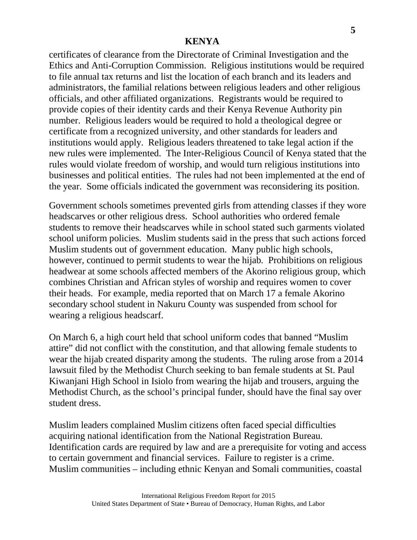certificates of clearance from the Directorate of Criminal Investigation and the Ethics and Anti-Corruption Commission. Religious institutions would be required to file annual tax returns and list the location of each branch and its leaders and administrators, the familial relations between religious leaders and other religious officials, and other affiliated organizations. Registrants would be required to provide copies of their identity cards and their Kenya Revenue Authority pin number. Religious leaders would be required to hold a theological degree or certificate from a recognized university, and other standards for leaders and institutions would apply. Religious leaders threatened to take legal action if the new rules were implemented. The Inter-Religious Council of Kenya stated that the rules would violate freedom of worship, and would turn religious institutions into businesses and political entities. The rules had not been implemented at the end of the year. Some officials indicated the government was reconsidering its position.

Government schools sometimes prevented girls from attending classes if they wore headscarves or other religious dress. School authorities who ordered female students to remove their headscarves while in school stated such garments violated school uniform policies. Muslim students said in the press that such actions forced Muslim students out of government education. Many public high schools, however, continued to permit students to wear the hijab*.* Prohibitions on religious headwear at some schools affected members of the Akorino religious group, which combines Christian and African styles of worship and requires women to cover their heads. For example, media reported that on March 17 a female Akorino secondary school student in Nakuru County was suspended from school for wearing a religious headscarf.

On March 6, a high court held that school uniform codes that banned "Muslim attire" did not conflict with the constitution, and that allowing female students to wear the hijab created disparity among the students. The ruling arose from a 2014 lawsuit filed by the Methodist Church seeking to ban female students at St. Paul Kiwanjani High School in Isiolo from wearing the hijab and trousers, arguing the Methodist Church, as the school's principal funder, should have the final say over student dress.

Muslim leaders complained Muslim citizens often faced special difficulties acquiring national identification from the National Registration Bureau. Identification cards are required by law and are a prerequisite for voting and access to certain government and financial services. Failure to register is a crime. Muslim communities – including ethnic Kenyan and Somali communities, coastal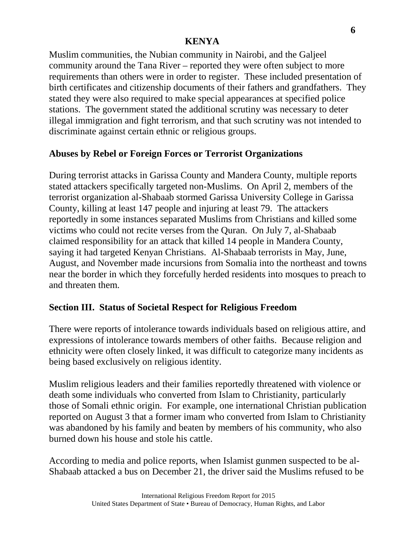Muslim communities, the Nubian community in Nairobi, and the Galjeel community around the Tana River – reported they were often subject to more requirements than others were in order to register. These included presentation of birth certificates and citizenship documents of their fathers and grandfathers. They stated they were also required to make special appearances at specified police stations. The government stated the additional scrutiny was necessary to deter illegal immigration and fight terrorism, and that such scrutiny was not intended to discriminate against certain ethnic or religious groups.

# **Abuses by Rebel or Foreign Forces or Terrorist Organizations**

During terrorist attacks in Garissa County and Mandera County, multiple reports stated attackers specifically targeted non-Muslims. On April 2, members of the terrorist organization al-Shabaab stormed Garissa University College in Garissa County, killing at least 147 people and injuring at least 79. The attackers reportedly in some instances separated Muslims from Christians and killed some victims who could not recite verses from the Quran. On July 7, al-Shabaab claimed responsibility for an attack that killed 14 people in Mandera County, saying it had targeted Kenyan Christians. Al-Shabaab terrorists in May, June, August, and November made incursions from Somalia into the northeast and towns near the border in which they forcefully herded residents into mosques to preach to and threaten them.

## **Section III. Status of Societal Respect for Religious Freedom**

There were reports of intolerance towards individuals based on religious attire, and expressions of intolerance towards members of other faiths. Because religion and ethnicity were often closely linked, it was difficult to categorize many incidents as being based exclusively on religious identity.

Muslim religious leaders and their families reportedly threatened with violence or death some individuals who converted from Islam to Christianity, particularly those of Somali ethnic origin. For example, one international Christian publication reported on August 3 that a former imam who converted from Islam to Christianity was abandoned by his family and beaten by members of his community, who also burned down his house and stole his cattle.

According to media and police reports, when Islamist gunmen suspected to be al-Shabaab attacked a bus on December 21, the driver said the Muslims refused to be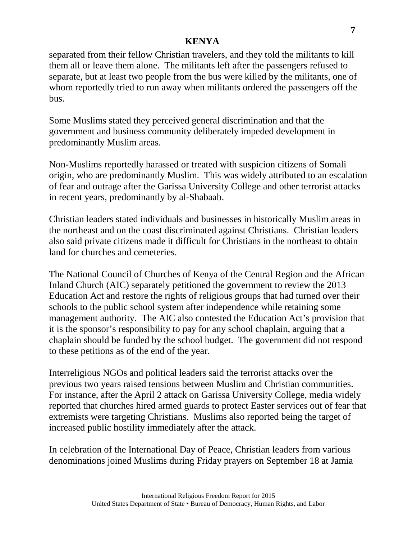separated from their fellow Christian travelers, and they told the militants to kill them all or leave them alone. The militants left after the passengers refused to separate, but at least two people from the bus were killed by the militants, one of whom reportedly tried to run away when militants ordered the passengers off the bus.

Some Muslims stated they perceived general discrimination and that the government and business community deliberately impeded development in predominantly Muslim areas.

Non-Muslims reportedly harassed or treated with suspicion citizens of Somali origin, who are predominantly Muslim. This was widely attributed to an escalation of fear and outrage after the Garissa University College and other terrorist attacks in recent years, predominantly by al-Shabaab.

Christian leaders stated individuals and businesses in historically Muslim areas in the northeast and on the coast discriminated against Christians. Christian leaders also said private citizens made it difficult for Christians in the northeast to obtain land for churches and cemeteries.

The National Council of Churches of Kenya of the Central Region and the African Inland Church (AIC) separately petitioned the government to review the 2013 Education Act and restore the rights of religious groups that had turned over their schools to the public school system after independence while retaining some management authority. The AIC also contested the Education Act's provision that it is the sponsor's responsibility to pay for any school chaplain, arguing that a chaplain should be funded by the school budget. The government did not respond to these petitions as of the end of the year.

Interreligious NGOs and political leaders said the terrorist attacks over the previous two years raised tensions between Muslim and Christian communities. For instance, after the April 2 attack on Garissa University College, media widely reported that churches hired armed guards to protect Easter services out of fear that extremists were targeting Christians. Muslims also reported being the target of increased public hostility immediately after the attack.

In celebration of the International Day of Peace, Christian leaders from various denominations joined Muslims during Friday prayers on September 18 at Jamia